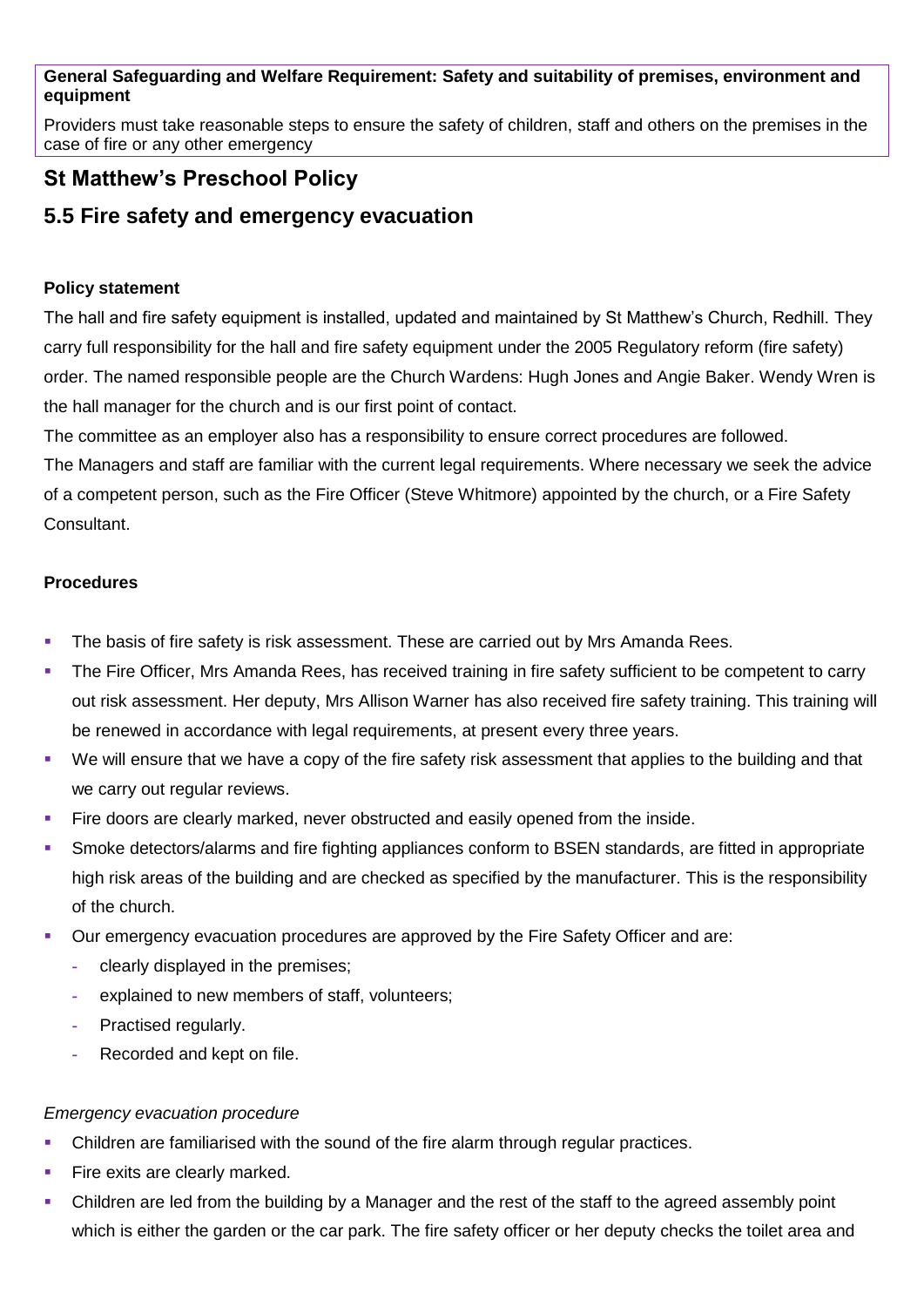### **General Safeguarding and Welfare Requirement: Safety and suitability of premises, environment and equipment**

Providers must take reasonable steps to ensure the safety of children, staff and others on the premises in the case of fire or any other emergency

# **St Matthew's Preschool Policy**

## **5.5 Fire safety and emergency evacuation**

## **Policy statement**

The hall and fire safety equipment is installed, updated and maintained by St Matthew's Church, Redhill. They carry full responsibility for the hall and fire safety equipment under the 2005 Regulatory reform (fire safety) order. The named responsible people are the Church Wardens: Hugh Jones and Angie Baker. Wendy Wren is the hall manager for the church and is our first point of contact.

The committee as an employer also has a responsibility to ensure correct procedures are followed.

The Managers and staff are familiar with the current legal requirements. Where necessary we seek the advice of a competent person, such as the Fire Officer (Steve Whitmore) appointed by the church, or a Fire Safety **Consultant** 

## **Procedures**

- The basis of fire safety is risk assessment. These are carried out by Mrs Amanda Rees.
- The Fire Officer, Mrs Amanda Rees, has received training in fire safety sufficient to be competent to carry out risk assessment. Her deputy, Mrs Allison Warner has also received fire safety training. This training will be renewed in accordance with legal requirements, at present every three years.
- We will ensure that we have a copy of the fire safety risk assessment that applies to the building and that we carry out regular reviews.
- Fire doors are clearly marked, never obstructed and easily opened from the inside.
- Smoke detectors/alarms and fire fighting appliances conform to BSEN standards, are fitted in appropriate high risk areas of the building and are checked as specified by the manufacturer. This is the responsibility of the church.
- Our emergency evacuation procedures are approved by the Fire Safety Officer and are:
	- **-** clearly displayed in the premises;
	- **-** explained to new members of staff, volunteers;
	- **-** Practised regularly.
	- **-** Recorded and kept on file.

### *Emergency evacuation procedure*

- Children are familiarised with the sound of the fire alarm through regular practices.
- Fire exits are clearly marked.
- Children are led from the building by a Manager and the rest of the staff to the agreed assembly point which is either the garden or the car park. The fire safety officer or her deputy checks the toilet area and